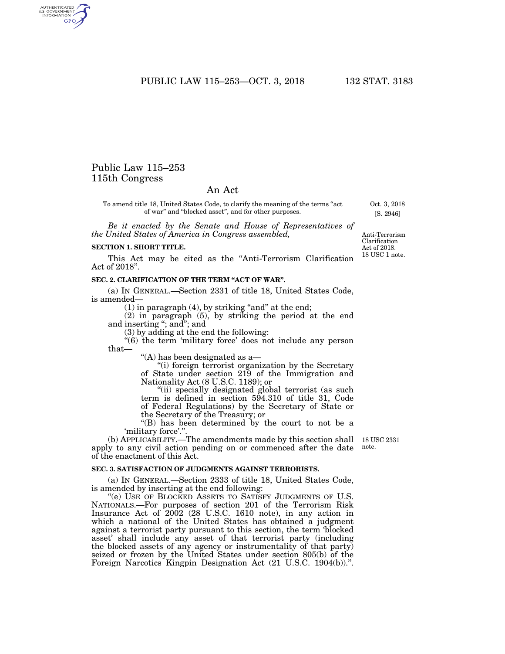PUBLIC LAW 115-253-OCT. 3, 2018 132 STAT. 3183

# Public Law 115–253 115th Congress

## An Act

To amend title 18, United States Code, to clarify the meaning of the terms ''act of war'' and ''blocked asset'', and for other purposes.

*Be it enacted by the Senate and House of Representatives of the United States of America in Congress assembled,* 

#### **SECTION 1. SHORT TITLE.**

This Act may be cited as the ''Anti-Terrorism Clarification Act of 2018''.

#### SEC. 2. CLARIFICATION OF THE TERM "ACT OF WAR".

(a) IN GENERAL.—Section 2331 of title 18, United States Code, is amended—

 $(1)$  in paragraph  $(4)$ , by striking "and" at the end;

(2) in paragraph (5), by striking the period at the end and inserting ''; and''; and

(3) by adding at the end the following:

''(6) the term 'military force' does not include any person that—

''(A) has been designated as a—

''(i) foreign terrorist organization by the Secretary of State under section 219 of the Immigration and Nationality Act (8 U.S.C. 1189); or

"(ii) specially designated global terrorist (as such term is defined in section 594.310 of title 31, Code of Federal Regulations) by the Secretary of State or the Secretary of the Treasury; or

''(B) has been determined by the court to not be a 'military force'.''.

(b) APPLICABILITY.—The amendments made by this section shall 18 USC 2331 apply to any civil action pending on or commenced after the date of the enactment of this Act. note.

### **SEC. 3. SATISFACTION OF JUDGMENTS AGAINST TERRORISTS.**

(a) IN GENERAL.—Section 2333 of title 18, United States Code, is amended by inserting at the end following:

"(e) USE OF BLOCKED ASSETS TO SATISFY JUDGMENTS OF U.S. NATIONALS.—For purposes of section 201 of the Terrorism Risk Insurance Act of 2002 (28 U.S.C. 1610 note), in any action in which a national of the United States has obtained a judgment against a terrorist party pursuant to this section, the term 'blocked asset' shall include any asset of that terrorist party (including the blocked assets of any agency or instrumentality of that party) seized or frozen by the United States under section 805(b) of the Foreign Narcotics Kingpin Designation Act (21 U.S.C. 1904(b)).''.

Anti-Terrorism Clarification Act of 2018. 18 USC 1 note.

Oct. 3, 2018 [S. 2946]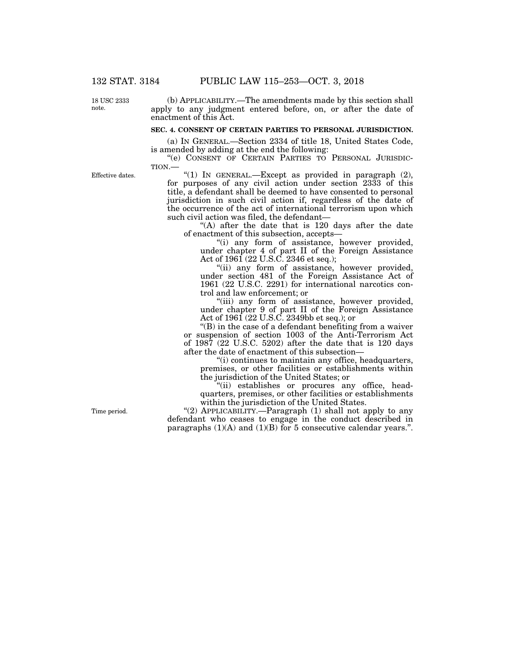18 USC 2333 note.

(b) APPLICABILITY.—The amendments made by this section shall apply to any judgment entered before, on, or after the date of enactment of this Act.

#### **SEC. 4. CONSENT OF CERTAIN PARTIES TO PERSONAL JURISDICTION.**

(a) IN GENERAL.—Section 2334 of title 18, United States Code, is amended by adding at the end the following:

"(e) CONSENT OF CERTAIN PARTIES TO PERSONAL JURISDIC-TION.—

Effective dates.

"(1) IN GENERAL.—Except as provided in paragraph (2), for purposes of any civil action under section 2333 of this title, a defendant shall be deemed to have consented to personal jurisdiction in such civil action if, regardless of the date of the occurrence of the act of international terrorism upon which such civil action was filed, the defendant—

"(A) after the date that is 120 days after the date of enactment of this subsection, accepts—

''(i) any form of assistance, however provided, under chapter 4 of part II of the Foreign Assistance Act of 1961 (22 U.S.C. 2346 et seq.);

"(ii) any form of assistance, however provided, under section 481 of the Foreign Assistance Act of 1961 (22 U.S.C. 2291) for international narcotics control and law enforcement; or

"(iii) any form of assistance, however provided, under chapter 9 of part II of the Foreign Assistance Act of 1961 (22 U.S.C. 2349bb et seq.); or

''(B) in the case of a defendant benefiting from a waiver or suspension of section 1003 of the Anti-Terrorism Act of 1987 (22 U.S.C. 5202) after the date that is 120 days after the date of enactment of this subsection—

''(i) continues to maintain any office, headquarters, premises, or other facilities or establishments within the jurisdiction of the United States; or

"(ii) establishes or procures any office, headquarters, premises, or other facilities or establishments within the jurisdiction of the United States.

"(2) APPLICABILITY.—Paragraph (1) shall not apply to any defendant who ceases to engage in the conduct described in paragraphs  $(1)(A)$  and  $(1)(B)$  for 5 consecutive calendar years.".

Time period.